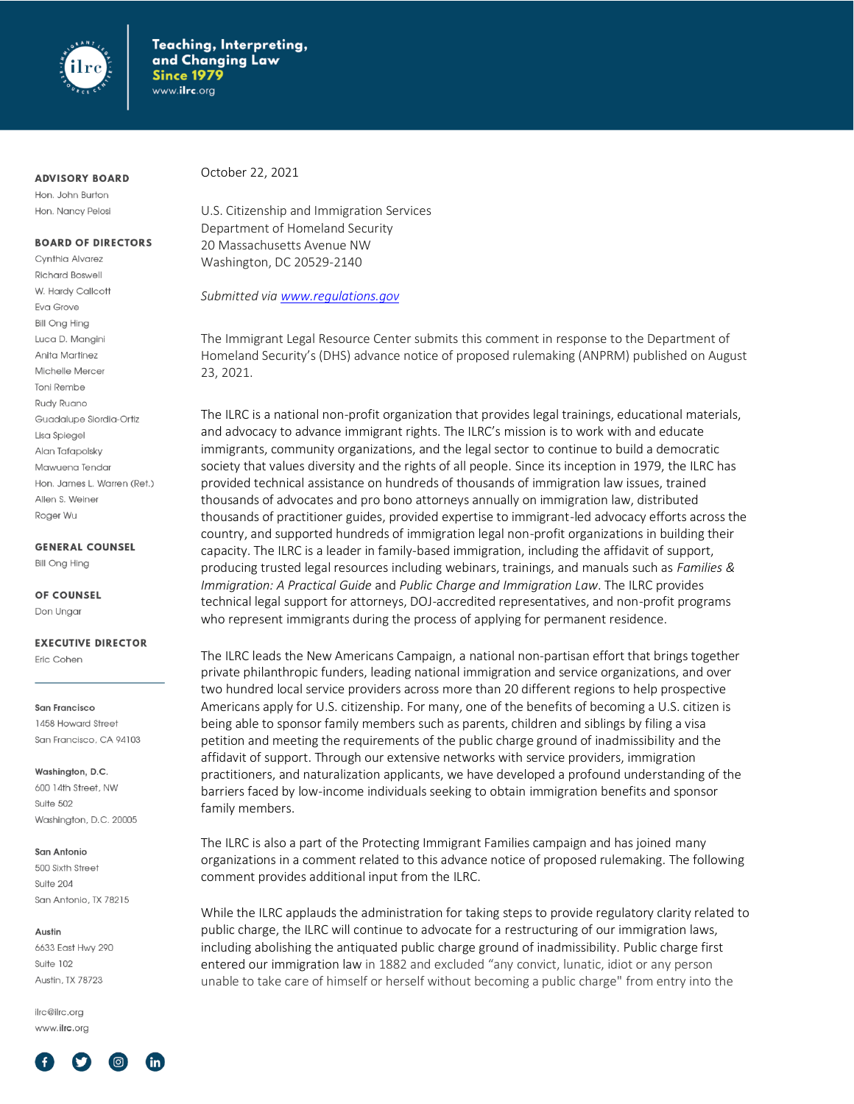

### **ADVISORY BOARD**

Hon. John Burton Hon. Nancy Pelosi

### **BOARD OF DIRECTORS**

Cynthia Alvarez **Richard Boswell** W. Hardy Callcott Eva Grove **Bill Ong Hing** Luca D. Manaini Anita Martinez Michelle Mercer **Toni Rembe** Rudy Ruano Guadalupe Siordia-Ortiz Lisa Spiegel Alan Tafapolsky Mawuena Tendar Hon. James L. Warren (Ret.) Allen S. Weiner Roger Wu

**GENERAL COUNSEL** 

**Bill Ong Hing** 

OF COUNSEL

Don Ungar

#### **EXECUTIVE DIRECTOR**

Eric Cohen

San Francisco 1458 Howard Street San Francisco, CA 94103

Washington, D.C.

600 14th Street, NW Suite 502 Washington, D.C. 20005

#### San Antonio

500 Sixth Street Suite 204 San Antonio, TX 78215

#### Austin

6633 East Hwy 290 Suite 102 Austin, TX 78723

ilrc@ilrc.org www.ilrc.org



October 22, 2021

U.S. Citizenship and Immigration Services Department of Homeland Security 20 Massachusetts Avenue NW Washington, DC 20529-2140

*Submitted vi[a www.regulations.gov](http://www.regulations.gov/)*

The Immigrant Legal Resource Center submits this comment in response to the Department of Homeland Security's (DHS) advance notice of proposed rulemaking (ANPRM) published on August 23, 2021.

The ILRC is a national non-profit organization that provides legal trainings, educational materials, and advocacy to advance immigrant rights. The ILRC's mission is to work with and educate immigrants, community organizations, and the legal sector to continue to build a democratic society that values diversity and the rights of all people. Since its inception in 1979, the ILRC has provided technical assistance on hundreds of thousands of immigration law issues, trained thousands of advocates and pro bono attorneys annually on immigration law, distributed thousands of practitioner guides, provided expertise to immigrant-led advocacy efforts across the country, and supported hundreds of immigration legal non-profit organizations in building their capacity. The ILRC is a leader in family-based immigration, including the affidavit of support, producing trusted legal resources including webinars, trainings, and manuals such as *Families & Immigration: A Practical Guide* and *Public Charge and Immigration Law*. The ILRC provides technical legal support for attorneys, DOJ-accredited representatives, and non-profit programs who represent immigrants during the process of applying for permanent residence.

The ILRC leads the New Americans Campaign, a national non-partisan effort that brings together private philanthropic funders, leading national immigration and service organizations, and over two hundred local service providers across more than 20 different regions to help prospective Americans apply for U.S. citizenship. For many, one of the benefits of becoming a U.S. citizen is being able to sponsor family members such as parents, children and siblings by filing a visa petition and meeting the requirements of the public charge ground of inadmissibility and the affidavit of support. Through our extensive networks with service providers, immigration practitioners, and naturalization applicants, we have developed a profound understanding of the barriers faced by low-income individuals seeking to obtain immigration benefits and sponsor family members.

The ILRC is also a part of the Protecting Immigrant Families campaign and has joined many organizations in a comment related to this advance notice of proposed rulemaking. The following comment provides additional input from the ILRC.

While the ILRC applauds the administration for taking steps to provide regulatory clarity related to public charge, the ILRC will continue to advocate for a restructuring of our immigration laws, including abolishing the antiquated public charge ground of inadmissibility. Public charge first entered our immigration law in 1882 and excluded "any convict, lunatic, idiot or any person unable to take care of himself or herself without becoming a public charge" from entry into the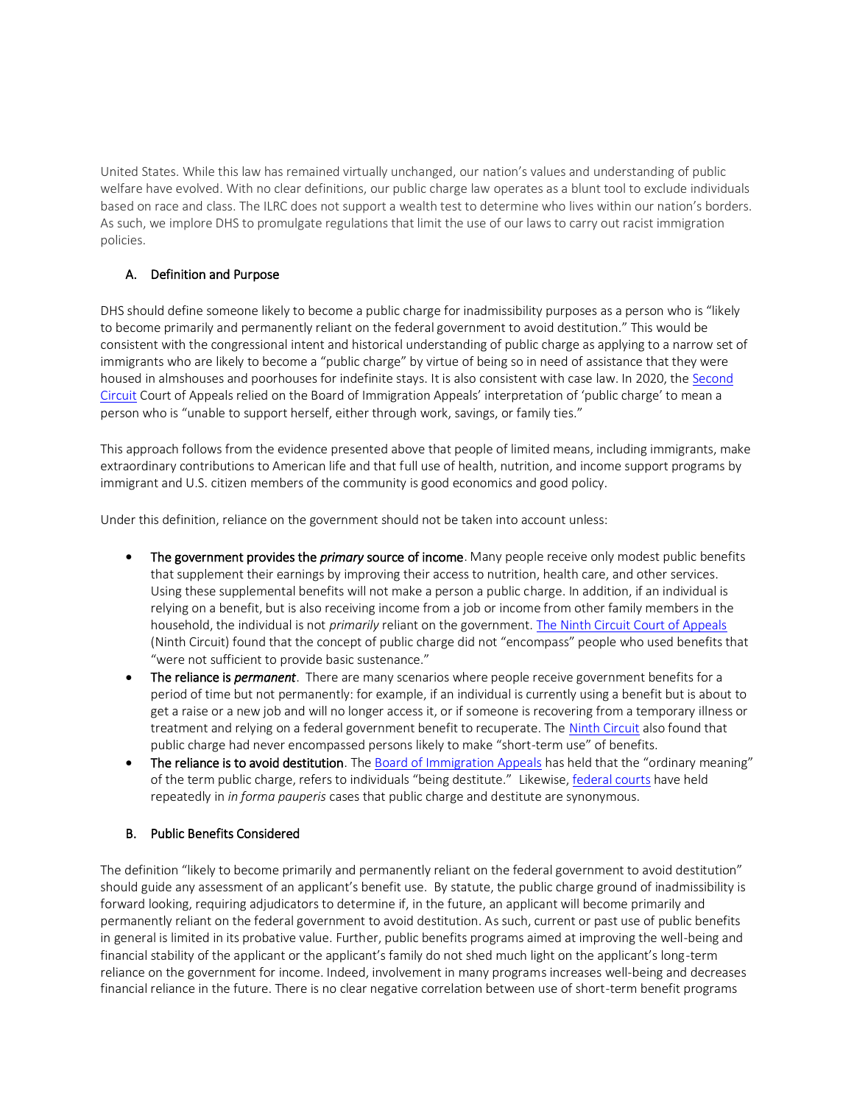United States. While this law has remained virtually unchanged, our nation's values and understanding of public welfare have evolved. With no clear definitions, our public charge law operates as a blunt tool to exclude individuals based on race and class. The ILRC does not support a wealth test to determine who lives within our nation's borders. As such, we implore DHS to promulgate regulations that limit the use of our laws to carry out racist immigration policies.

# A. Definition and Purpose

DHS should define someone likely to become a public charge for inadmissibility purposes as a person who is "likely to become primarily and permanently reliant on the federal government to avoid destitution." This would be consistent with the congressional intent and historical understanding of public charge as applying to a narrow set of immigrants who are likely to become a "public charge" by virtue of being so in need of assistance that they were housed in almshouses and poorhouses for indefinite stays. It is also consistent with case law. In 2020, th[e Second](https://ag.ny.gov/sites/default/files/ca2_opinion_-_public_charge.pdf)  [Circuit](https://ag.ny.gov/sites/default/files/ca2_opinion_-_public_charge.pdf) Court of Appeals relied on the Board of Immigration Appeals' interpretation of 'public charge' to mean a person who is "unable to support herself, either through work, savings, or family ties."

This approach follows from the evidence presented above that people of limited means, including immigrants, make extraordinary contributions to American life and that full use of health, nutrition, and income support programs by immigrant and U.S. citizen members of the community is good economics and good policy.

Under this definition, reliance on the government should not be taken into account unless:

- The government provides the *primary* source of income. Many people receive only modest public benefits that supplement their earnings by improving their access to nutrition, health care, and other services. Using these supplemental benefits will not make a person a public charge. In addition, if an individual is relying on a benefit, but is also receiving income from a job or income from other family members in the household, the individual is not *primarily* reliant on the government[. The Ninth Circuit Court of Appeals](https://cdn.ca9.uscourts.gov/datastore/opinions/2020/12/02/19-17213.pdf) (Ninth Circuit) found that the concept of public charge did not "encompass" people who used benefits that "were not sufficient to provide basic sustenance."
- The reliance is *permanent*. There are many scenarios where people receive government benefits for a period of time but not permanently: for example, if an individual is currently using a benefit but is about to get a raise or a new job and will no longer access it, or if someone is recovering from a temporary illness or treatment and relying on a federal government benefit to recuperate. The [Ninth Circuit](https://cdn.ca9.uscourts.gov/datastore/opinions/2020/12/02/19-17213.pdf) also found that public charge had never encompassed persons likely to make "short-term use" of benefits.
- The reliance is to avoid destitution. Th[e Board of Immigration Appeals](https://www.justice.gov/sites/default/files/eoir/legacy/2012/08/17/2263.pdf) has held that the "ordinary meaning" of the term public charge, refers to individuals "being destitute." Likewise[, federal courts](https://casetext.com/case/martinez-v-kristi-kleaners-inc) have held repeatedly in *in forma pauperis* cases that public charge and destitute are synonymous.

# B. Public Benefits Considered

The definition "likely to become primarily and permanently reliant on the federal government to avoid destitution" should guide any assessment of an applicant's benefit use. By statute, the public charge ground of inadmissibility is forward looking, requiring adjudicators to determine if, in the future, an applicant will become primarily and permanently reliant on the federal government to avoid destitution. As such, current or past use of public benefits in general is limited in its probative value. Further, public benefits programs aimed at improving the well-being and financial stability of the applicant or the applicant's family do not shed much light on the applicant's long-term reliance on the government for income. Indeed, involvement in many programs increases well-being and decreases financial reliance in the future. There is no clear negative correlation between use of short-term benefit programs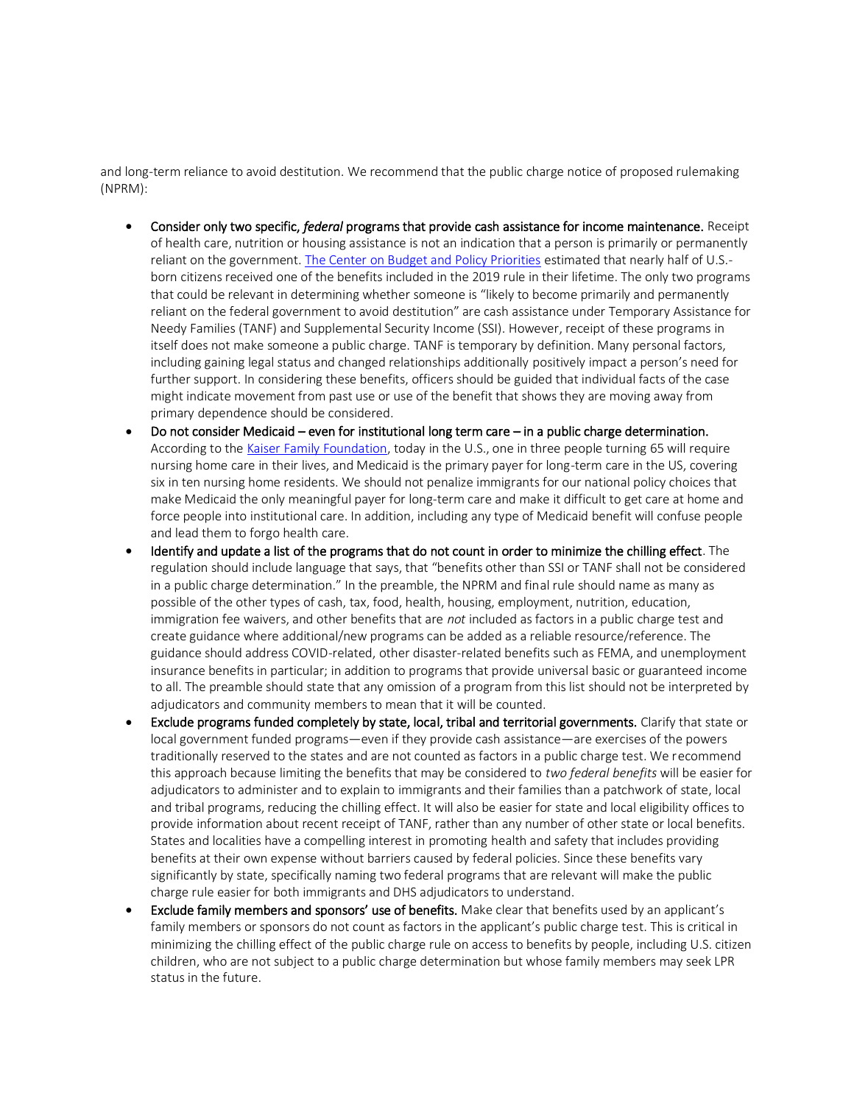and long-term reliance to avoid destitution. We recommend that the public charge notice of proposed rulemaking (NPRM):

- Consider only two specific, *federal* programs that provide cash assistance for income maintenance. Receipt of health care, nutrition or housing assistance is not an indication that a person is primarily or permanently reliant on the government[. The Center on Budget and Policy Priorities](https://www.cbpp.org/research/immigration/administrations-public-charge-rules-would-close-the-door-to-us-to-immigrants) estimated that nearly half of U.S.born citizens received one of the benefits included in the 2019 rule in their lifetime. The only two programs that could be relevant in determining whether someone is "likely to become primarily and permanently reliant on the federal government to avoid destitution" are cash assistance under Temporary Assistance for Needy Families (TANF) and Supplemental Security Income (SSI). However, receipt of these programs in itself does not make someone a public charge. TANF is temporary by definition. Many personal factors, including gaining legal status and changed relationships additionally positively impact a person's need for further support. In considering these benefits, officers should be guided that individual facts of the case might indicate movement from past use or use of the benefit that shows they are moving away from primary dependence should be considered.
- Do not consider Medicaid even for institutional long term care in a public charge determination. According to the [Kaiser Family Foundation,](https://files.kff.org/attachment/Infographic-Medicaids-Role-in-Nursing-Home-Care) today in the U.S., one in three people turning 65 will require nursing home care in their lives, and Medicaid is the primary payer for long-term care in the US, covering six in ten nursing home residents. We should not penalize immigrants for our national policy choices that make Medicaid the only meaningful payer for long-term care and make it difficult to get care at home and force people into institutional care. In addition, including any type of Medicaid benefit will confuse people and lead them to forgo health care.
- Identify and update a list of the programs that do not count in order to minimize the chilling effect. The regulation should include language that says, that "benefits other than SSI or TANF shall not be considered in a public charge determination." In the preamble, the NPRM and final rule should name as many as possible of the other types of cash, tax, food, health, housing, employment, nutrition, education, immigration fee waivers, and other benefits that are *not* included as factors in a public charge test and create guidance where additional/new programs can be added as a reliable resource/reference. The guidance should address COVID-related, other disaster-related benefits such as FEMA, and unemployment insurance benefits in particular; in addition to programs that provide universal basic or guaranteed income to all. The preamble should state that any omission of a program from this list should not be interpreted by adjudicators and community members to mean that it will be counted.
- Exclude programs funded completely by state, local, tribal and territorial governments. Clarify that state or local government funded programs—even if they provide cash assistance—are exercises of the powers traditionally reserved to the states and are not counted as factors in a public charge test. We recommend this approach because limiting the benefits that may be considered to *two federal benefits* will be easier for adjudicators to administer and to explain to immigrants and their families than a patchwork of state, local and tribal programs, reducing the chilling effect. It will also be easier for state and local eligibility offices to provide information about recent receipt of TANF, rather than any number of other state or local benefits. States and localities have a compelling interest in promoting health and safety that includes providing benefits at their own expense without barriers caused by federal policies. Since these benefits vary significantly by state, specifically naming two federal programs that are relevant will make the public charge rule easier for both immigrants and DHS adjudicators to understand.
- Exclude family members and sponsors' use of benefits. Make clear that benefits used by an applicant's family members or sponsors do not count as factors in the applicant's public charge test. This is critical in minimizing the chilling effect of the public charge rule on access to benefits by people, including U.S. citizen children, who are not subject to a public charge determination but whose family members may seek LPR status in the future.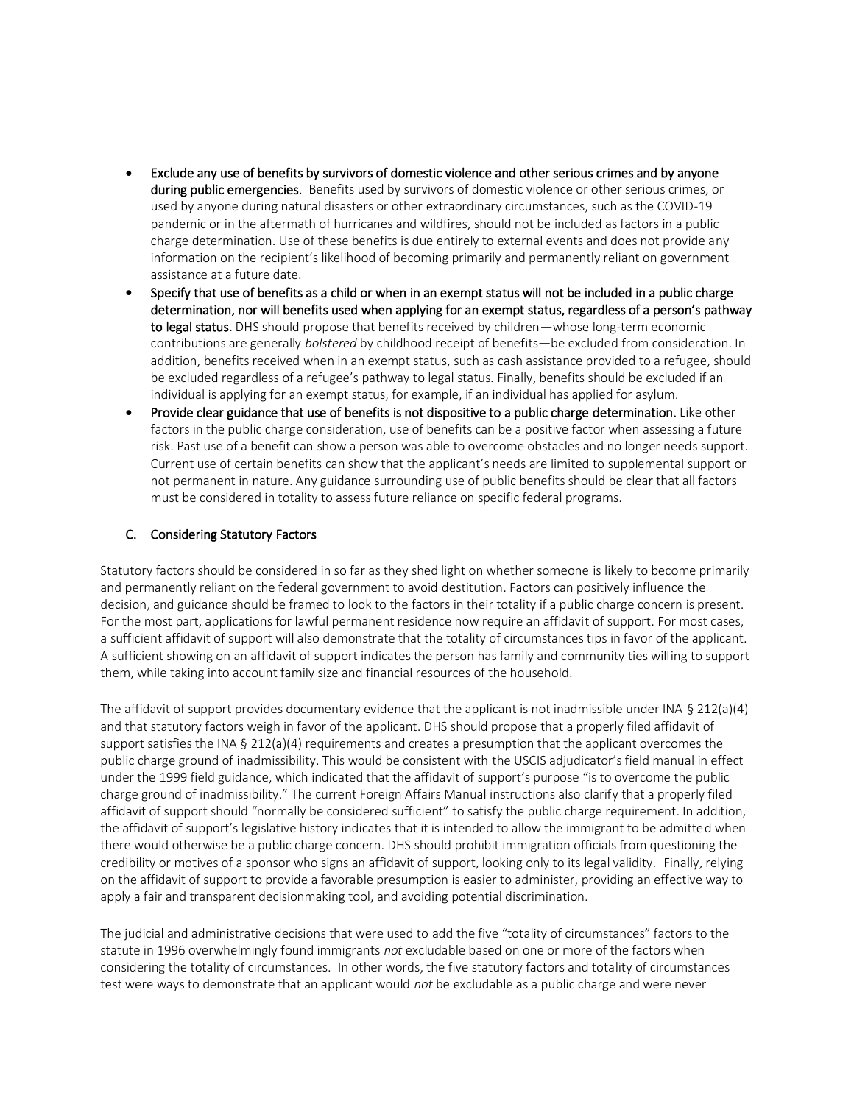- Exclude any use of benefits by survivors of domestic violence and other serious crimes and by anyone during public emergencies. Benefits used by survivors of domestic violence or other serious crimes, or used by anyone during natural disasters or other extraordinary circumstances, such as the COVID-19 pandemic or in the aftermath of hurricanes and wildfires, should not be included as factors in a public charge determination. Use of these benefits is due entirely to external events and does not provide any information on the recipient's likelihood of becoming primarily and permanently reliant on government assistance at a future date.
- Specify that use of benefits as a child or when in an exempt status will not be included in a public charge determination, nor will benefits used when applying for an exempt status, regardless of a person's pathway to legal status. DHS should propose that benefits received by children—whose long-term economic contributions are generally *bolstered* by childhood receipt of benefits—be excluded from consideration. In addition, benefits received when in an exempt status, such as cash assistance provided to a refugee, should be excluded regardless of a refugee's pathway to legal status. Finally, benefits should be excluded if an individual is applying for an exempt status, for example, if an individual has applied for asylum.
- Provide clear guidance that use of benefits is not dispositive to a public charge determination. Like other factors in the public charge consideration, use of benefits can be a positive factor when assessing a future risk. Past use of a benefit can show a person was able to overcome obstacles and no longer needs support. Current use of certain benefits can show that the applicant's needs are limited to supplemental support or not permanent in nature. Any guidance surrounding use of public benefits should be clear that all factors must be considered in totality to assess future reliance on specific federal programs.

## C. Considering Statutory Factors

Statutory factors should be considered in so far as they shed light on whether someone is likely to become primarily and permanently reliant on the federal government to avoid destitution. Factors can positively influence the decision, and guidance should be framed to look to the factors in their totality if a public charge concern is present. For the most part, applications for lawful permanent residence now require an affidavit of support. For most cases, a sufficient affidavit of support will also demonstrate that the totality of circumstances tips in favor of the applicant. A sufficient showing on an affidavit of support indicates the person has family and community ties willing to support them, while taking into account family size and financial resources of the household.

The affidavit of support provides documentary evidence that the applicant is not inadmissible under INA § 212(a)(4) and that statutory factors weigh in favor of the applicant. DHS should propose that a properly filed affidavit of support satisfies the INA § 212(a)(4) requirements and creates a presumption that the applicant overcomes the public charge ground of inadmissibility. This would be consistent with the USCIS adjudicator's field manual in effect under the 1999 field guidance, which indicated that the affidavit of support's purpose "is to overcome the public charge ground of inadmissibility." The current Foreign Affairs Manual instructions also clarify that a properly filed affidavit of support should "normally be considered sufficient" to satisfy the public charge requirement. In addition, the affidavit of support's legislative history indicates that it is intended to allow the immigrant to be admitted when there would otherwise be a public charge concern. DHS should prohibit immigration officials from questioning the credibility or motives of a sponsor who signs an affidavit of support, looking only to its legal validity. Finally, relying on the affidavit of support to provide a favorable presumption is easier to administer, providing an effective way to apply a fair and transparent decisionmaking tool, and avoiding potential discrimination.

The judicial and administrative decisions that were used to add the five "totality of circumstances" factors to the statute in 1996 overwhelmingly found immigrants *not* excludable based on one or more of the factors when considering the totality of circumstances. In other words, the five statutory factors and totality of circumstances test were ways to demonstrate that an applicant would *not* be excludable as a public charge and were never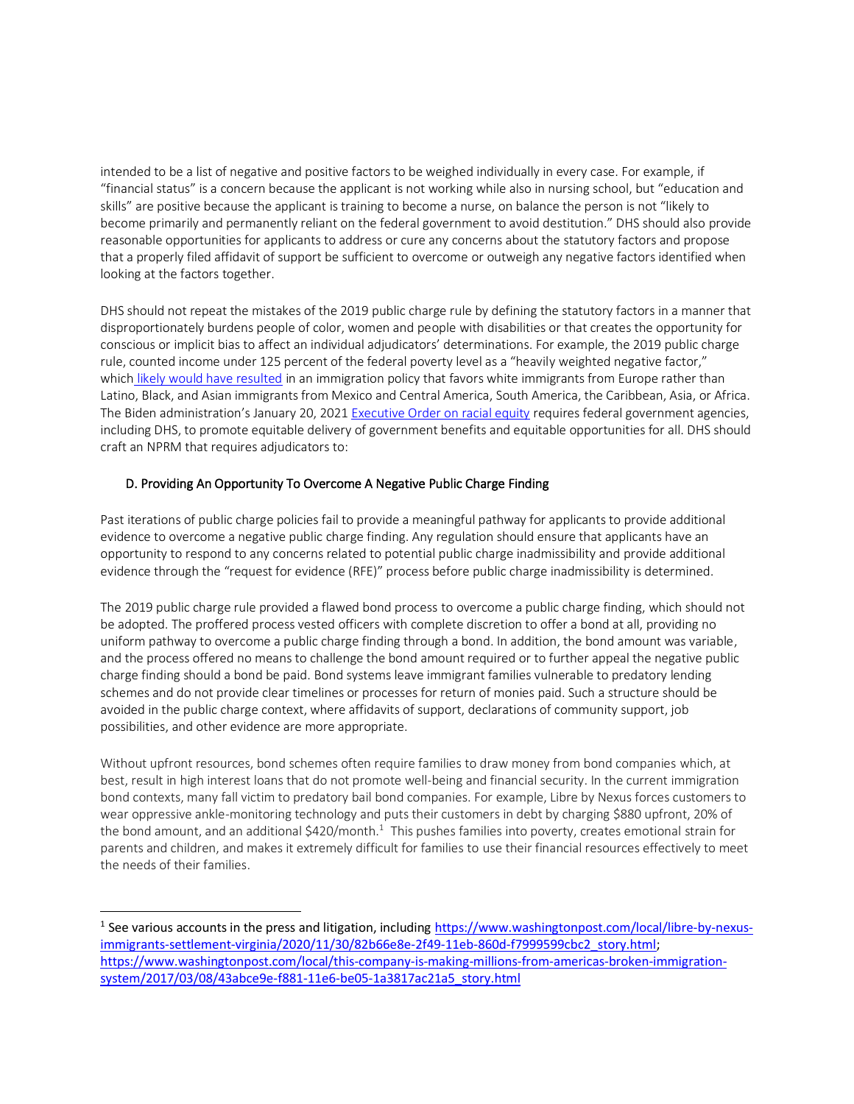intended to be a list of negative and positive factors to be weighed individually in every case. For example, if "financial status" is a concern because the applicant is not working while also in nursing school, but "education and skills" are positive because the applicant is training to become a nurse, on balance the person is not "likely to become primarily and permanently reliant on the federal government to avoid destitution." DHS should also provide reasonable opportunities for applicants to address or cure any concerns about the statutory factors and propose that a properly filed affidavit of support be sufficient to overcome or outweigh any negative factors identified when looking at the factors together.

DHS should not repeat the mistakes of the 2019 public charge rule by defining the statutory factors in a manner that disproportionately burdens people of color, women and people with disabilities or that creates the opportunity for conscious or implicit bias to affect an individual adjudicators' determinations. For example, the 2019 public charge rule, counted income under 125 percent of the federal poverty level as a "heavily weighted negative factor," which [likely would have resulted](https://www.migrationpolicy.org/research/impact-dhs-public-charge-rule-immigration) in an immigration policy that favors white immigrants from Europe rather than Latino, Black, and Asian immigrants from Mexico and Central America, South America, the Caribbean, Asia, or Africa. The Biden administration's January 20, 2021 [Executive Order on racial equity](https://www.whitehouse.gov/briefing-room/presidential-actions/2021/01/20/executive-order-advancing-racial-equity-and-support-for-underserved-communities-through-the-federal-government/) requires federal government agencies, including DHS, to promote equitable delivery of government benefits and equitable opportunities for all. DHS should craft an NPRM that requires adjudicators to:

# D. Providing An Opportunity To Overcome A Negative Public Charge Finding

Past iterations of public charge policies fail to provide a meaningful pathway for applicants to provide additional evidence to overcome a negative public charge finding. Any regulation should ensure that applicants have an opportunity to respond to any concerns related to potential public charge inadmissibility and provide additional evidence through the "request for evidence (RFE)" process before public charge inadmissibility is determined.

The 2019 public charge rule provided a flawed bond process to overcome a public charge finding, which should not be adopted. The proffered process vested officers with complete discretion to offer a bond at all, providing no uniform pathway to overcome a public charge finding through a bond. In addition, the bond amount was variable, and the process offered no means to challenge the bond amount required or to further appeal the negative public charge finding should a bond be paid. Bond systems leave immigrant families vulnerable to predatory lending schemes and do not provide clear timelines or processes for return of monies paid. Such a structure should be avoided in the public charge context, where affidavits of support, declarations of community support, job possibilities, and other evidence are more appropriate.

Without upfront resources, bond schemes often require families to draw money from bond companies which, at best, result in high interest loans that do not promote well-being and financial security. In the current immigration bond contexts, many fall victim to predatory bail bond companies. For example, Libre by Nexus forces customers to wear oppressive ankle-monitoring technology and puts their customers in debt by charging \$880 upfront, 20% of the bond amount, and an additional  $$420/month.<sup>1</sup>$  This pushes families into poverty, creates emotional strain for parents and children, and makes it extremely difficult for families to use their financial resources effectively to meet the needs of their families.

<sup>&</sup>lt;sup>1</sup> See various accounts in the press and litigation, includin[g https://www.washingtonpost.com/local/libre-by-nexus](https://www.washingtonpost.com/local/libre-by-nexus-immigrants-settlement-virginia/2020/11/30/82b66e8e-2f49-11eb-860d-f7999599cbc2_story.html)[immigrants-settlement-virginia/2020/11/30/82b66e8e-2f49-11eb-860d-f7999599cbc2\\_story.html;](https://www.washingtonpost.com/local/libre-by-nexus-immigrants-settlement-virginia/2020/11/30/82b66e8e-2f49-11eb-860d-f7999599cbc2_story.html) [https://www.washingtonpost.com/local/this-company-is-making-millions-from-americas-broken-immigration](https://www.washingtonpost.com/local/this-company-is-making-millions-from-americas-broken-immigration-system/2017/03/08/43abce9e-f881-11e6-be05-1a3817ac21a5_story.html)[system/2017/03/08/43abce9e-f881-11e6-be05-1a3817ac21a5\\_story.html](https://www.washingtonpost.com/local/this-company-is-making-millions-from-americas-broken-immigration-system/2017/03/08/43abce9e-f881-11e6-be05-1a3817ac21a5_story.html)